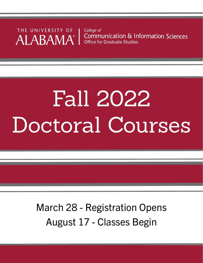THE UNIVERSITY OF ALABAMA®

College of Communication & Information Sciences Office for Graduate Studies

# Fall 2022 Doctoral Courses

March 28 - Registration Opens August 17 - Classes Begin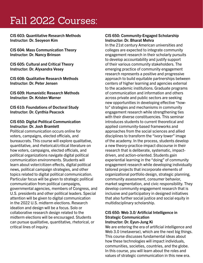CIS 603: Quantitative Research Methods Instructor: Dr. Seoyeon Kim

CIS 604: Mass Communication Theory Instructor: Dr. Nancy Brinson

CIS 605: Cultural and Critical Theory Instructor: Dr. Alyxandra Vesey

CIS 608: Qualitative Research Methods Instructor: Dr. Peter Jensen

CIS 609: Humanistic Research Methods Instructor: Dr. Kristen Warner

CIS 610: Foundations of Doctoral Study Instructor: Dr. Cynthia Peacock

#### CIS 650: Digital Political Communication Instructor: Dr. Josh Bramlett

Political communication occurs online for voters, campaigns, elected officials, and bureaucrats. This course will explore qualitative, quantitative, and rhetorical/critical literature on how voters, campaigns, elected officials, and political organizations navigate digital political communication environments. Students will learn about voter/citizen effects, digital political news, political campaign strategies, and other topics related to digital political communication. Particular focus will be given to strategic political communication from political campaigns, governmental agencies, members of Congress, and U.S. presidents and other political leaders. Special attention will be given to digital communication in the 2022 U.S. midterm elections. Research ideation and design will be a focus. Solo or collaborative research design related to the midterm elections will be encouraged. Students can pursue qualitative, quantitative, rhetorical, or critical lines of inquiry.

#### CIS 650: Community-Engaged Scholarship Instructor: Dr. Bharat Mehra

In the 21st century American universities and colleges are expected to integrate community engagement research in their scholarly pursuits to develop accountability and justify support of their various community stakeholders. The emerging practice of community engagement research represents a positive and progressive approach to build equitable partnerships between centers of higher learning and agencies external to the academic institutions. Graduate programs of communication and information and others across private and public sectors are seeking new opportunities in developing effective "howto" strategies and mechanisms in community engagement research while strengthening ties with their diverse constituencies. This seminar introduces students to current theoretical and applied community-based frameworks and approaches from the social sciences and allied disciplines to transform the "ivory tower" image of the academy. In the process, students develop a new theory-practice-impact discourse in their research that is deliberate, systematic, impactdriven, and action-oriented. Students gain experiential learning in the "doing" of community engagement research while developing individually tailored projects that incorporate elements of organizational portfolio design, strategic planning, community assessment, consumer behavior, market segmentation, and civic responsibility. They develop community engagement research that is inclusive and participatory in designed initiatives that also further social justice and social equity in multidisciplinary scholarship.

#### CIS 650: Web 3.0/ Artificial Intelligence in Strategic Communication Instructor: Dr. Eyun-Jung Ki

We are entering the era of artificial intelligence and Web 3.0 (metaverse), which are the next big things. This course discusses fundamental ideas about how these technologies will impact individuals, communities, societies, countries, and the globe. In this course, you will learn about the roles and values of strategic communication in this new era.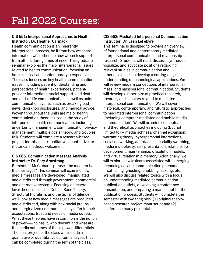#### CIS 651: Interpersonal Approaches to Health Instructor: Dr. Heather Carmack

Health communication is an inherently interpersonal process, be it from how we share information with others to how we seek support from others during times of need. This graduate seminar explores the major interpersonal issues related to health communication, focusing on both classical and contemporary perspectives. The class focuses on key health communication issues, including patient understanding and perspectives of health experiences, patientprovider interactions, social support, and death and end-of-life communication, as well as unique communication events, such as breaking bad news, doorknob disclosures, and medical advice. Woven throughout the units are major health communication theories used in the study of interpersonal health communication, including uncertainty management, communication privacy management, multiple goals theory, and troubles talk. Students will complete a research-based project for this class (qualitative, quantitative, or rhetorical methods welcome).

#### CIS 665: Communication Message Analysis Instructor: Dr. Cory Armstrong

Remember McCluhan's phrase "the medium is the message?" This seminar will examine how media messages are developed, manipulated and distributed through government, commercial and alternative systems. Focusing on macrolevel theories, such as Critical Race Theory, Structural Pluralism, and the Spiral of Silence, we'll look at how media messages are produced and distributed, along with how social groups and marginalized communities may differ in their expectations, trust and needs of media outlets. What these theories have in common is the notion of power—who has it, who doesn't and what are the media outcomes of those power differentials. The final project of the class will include a qualitative or quantitative content analyses that can be completed during the term of the class.

#### CIS 662: Mediated Interpersonal Communication Instructor: Dr. Leah LeFebvre

This seminar is designed to provide an overview of foundational and contemporary mediated interpersonal communication and relationship research. Students will read, discuss, synthesize, visualize, and advocate positions regarding relevant studies in communication and other disciplines to develop a cutting-edge understanding of technological applications. We will review modern conceptions of interpersonal, mass, and masspersonal communication. Students will develop a repertoire of practical research, theories, and scholars related to mediated interpersonal communication. We will cover historical, contemporary, and futuristic approaches to mediated interpersonal communication (including computer-mediated and mobile media communication). We will examine conceptual and theoretical approaches including (but not limited to) -- media richness, channel expansion, warranting theory, hyperpersonal interactions, social networking, affordances, modality switching, media multiplexity, self-presentation, relationship development, maintenance, dissolution models, and virtual relationship memory. Additionally, we will explore new lexicons associated with emerging technological and communication phenomena – catfishing, ghosting, phubbing, sexting, etc. We will also discuss related topics with a focus on understanding mediated communication publication outlets, developing a conference presentation, and preparing a manuscript for the publication process. Students will complete the semester with two tangibles: (1) original theorybased research project manuscript and (2) conference ready presentation.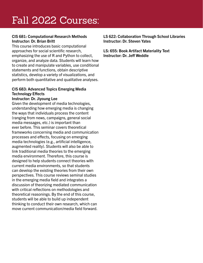#### CIS 681: Computational Research Methods Instructor: Dr. Brian Britt

This course introduces basic computational approaches for social scientific research, emphasizing the use of R and Python to collect, organize, and analyze data. Students will learn how to create and manipulate variables, use conditional statements and functions, obtain descriptive statistics, develop a variety of visualizations, and perform both quantitative and qualitative analyses.

#### CIS 683: Advanced Topics Emerging Media Technology Effects

#### Instructor: Dr. Jiyoung Lee

Given the development of media technologies, understanding how emerging media is changing the ways that individuals process the content (ranging from news, campaigns, general social media messages, etc.) is important than ever before. This seminar covers theoretical frameworks concerning media and communication processes and effects, focusing on emerging media technologies (e.g., artificial intelligence, augmented reality). Students will also be able to link traditional media theories to the emerging media environment. Therefore, this course is designed to help students connect theories with current media environments, so that students can develop the existing theories from their own perspectives. This course reviews seminal studies in the emerging media field and integrates a discussion of theorizing mediated communication with critical reflections on methodologies and theoretical reasonings. By the end of this course, students will be able to build up independent thinking to conduct their own research, which can move current communication/media field forward.

LS 622: Collaboration Through School Libraries Instructor: Dr. Steven Yates

LS: 655: Book Artifact Materiality Text Instructor: Dr. Jeff Weddle